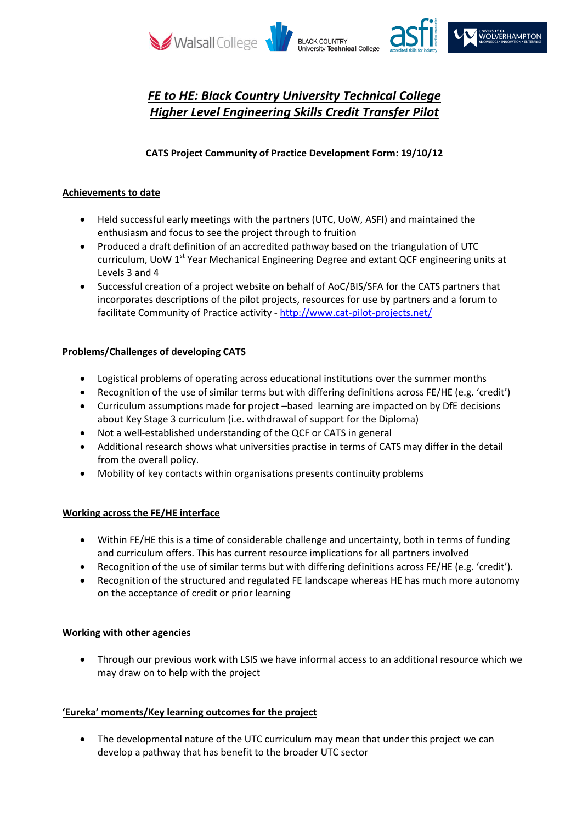

# *FE to HE: Black Country University Technical College Higher Level Engineering Skills Credit Transfer Pilot*

## **CATS Project Community of Practice Development Form: 19/10/12**

### **Achievements to date**

- Held successful early meetings with the partners (UTC, UoW, ASFI) and maintained the enthusiasm and focus to see the project through to fruition
- Produced a draft definition of an accredited pathway based on the triangulation of UTC curriculum, UoW 1<sup>st</sup> Year Mechanical Engineering Degree and extant QCF engineering units at Levels 3 and 4
- Successful creation of a project website on behalf of AoC/BIS/SFA for the CATS partners that incorporates descriptions of the pilot projects, resources for use by partners and a forum to facilitate Community of Practice activity - <http://www.cat-pilot-projects.net/>

## **Problems/Challenges of developing CATS**

- Logistical problems of operating across educational institutions over the summer months
- Recognition of the use of similar terms but with differing definitions across FE/HE (e.g. 'credit')
- Curriculum assumptions made for project –based learning are impacted on by DfE decisions about Key Stage 3 curriculum (i.e. withdrawal of support for the Diploma)
- Not a well-established understanding of the QCF or CATS in general
- Additional research shows what universities practise in terms of CATS may differ in the detail from the overall policy.
- Mobility of key contacts within organisations presents continuity problems

### **Working across the FE/HE interface**

- Within FE/HE this is a time of considerable challenge and uncertainty, both in terms of funding and curriculum offers. This has current resource implications for all partners involved
- Recognition of the use of similar terms but with differing definitions across FE/HE (e.g. 'credit').
- Recognition of the structured and regulated FE landscape whereas HE has much more autonomy on the acceptance of credit or prior learning

### **Working with other agencies**

 Through our previous work with LSIS we have informal access to an additional resource which we may draw on to help with the project

### **'Eureka' moments/Key learning outcomes for the project**

 The developmental nature of the UTC curriculum may mean that under this project we can develop a pathway that has benefit to the broader UTC sector